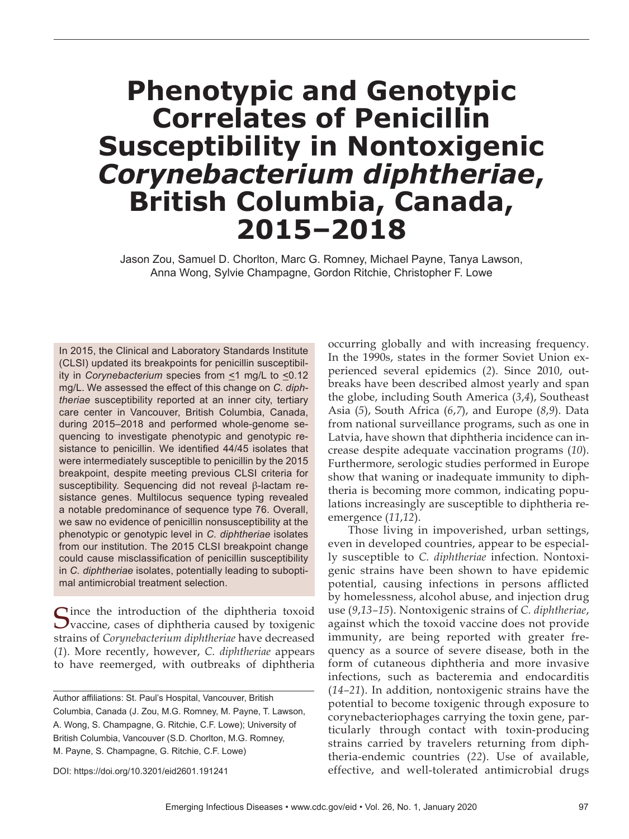# **Phenotypic and Genotypic Correlates of Penicillin Susceptibility in Nontoxigenic**  *Corynebacterium diphtheriae***, British Columbia, Canada, 2015–2018**

Jason Zou, Samuel D. Chorlton, Marc G. Romney, Michael Payne, Tanya Lawson, Anna Wong, Sylvie Champagne, Gordon Ritchie, Christopher F. Lowe

In 2015, the Clinical and Laboratory Standards Institute (CLSI) updated its breakpoints for penicillin susceptibility in *Corynebacterium* species from ≤1 mg/L to ≤0.12 mg/L. We assessed the effect of this change on *C. diphtheriae* susceptibility reported at an inner city, tertiary care center in Vancouver, British Columbia, Canada, during 2015–2018 and performed whole-genome sequencing to investigate phenotypic and genotypic resistance to penicillin. We identified 44/45 isolates that were intermediately susceptible to penicillin by the 2015 breakpoint, despite meeting previous CLSI criteria for susceptibility. Sequencing did not reveal β-lactam resistance genes. Multilocus sequence typing revealed a notable predominance of sequence type 76. Overall, we saw no evidence of penicillin nonsusceptibility at the phenotypic or genotypic level in *C. diphtheriae* isolates from our institution. The 2015 CLSI breakpoint change could cause misclassification of penicillin susceptibility in *C. diphtheriae* isolates, potentially leading to suboptimal antimicrobial treatment selection.

Cince the introduction of the diphtheria toxoid  $\mathbf{\mathcal{U}}$  vaccine, cases of diphtheria caused by toxigenic strains of *Corynebacterium diphtheriae* have decreased (*1*). More recently, however, *C. diphtheriae* appears to have reemerged, with outbreaks of diphtheria

Author affiliations: St. Paul's Hospital, Vancouver, British Columbia, Canada (J. Zou, M.G. Romney, M. Payne, T. Lawson, A. Wong, S. Champagne, G. Ritchie, C.F. Lowe); University of British Columbia, Vancouver (S.D. Chorlton, M.G. Romney, M. Payne, S. Champagne, G. Ritchie, C.F. Lowe)

DOI: https://doi.org/10.3201/eid2601.191241

occurring globally and with increasing frequency. In the 1990s, states in the former Soviet Union experienced several epidemics (*2*). Since 2010, outbreaks have been described almost yearly and span the globe, including South America (*3*,*4*), Southeast Asia (*5*), South Africa (*6*,*7*), and Europe (*8*,*9*). Data from national surveillance programs, such as one in Latvia, have shown that diphtheria incidence can increase despite adequate vaccination programs (*10*). Furthermore, serologic studies performed in Europe show that waning or inadequate immunity to diphtheria is becoming more common, indicating populations increasingly are susceptible to diphtheria reemergence (*11*,*12*).

Those living in impoverished, urban settings, even in developed countries, appear to be especially susceptible to *C. diphtheriae* infection. Nontoxigenic strains have been shown to have epidemic potential, causing infections in persons afflicted by homelessness, alcohol abuse, and injection drug use (*9*,*13–15*). Nontoxigenic strains of *C. diphtheriae*, against which the toxoid vaccine does not provide immunity, are being reported with greater frequency as a source of severe disease, both in the form of cutaneous diphtheria and more invasive infections, such as bacteremia and endocarditis (*14–21*). In addition, nontoxigenic strains have the potential to become toxigenic through exposure to corynebacteriophages carrying the toxin gene, particularly through contact with toxin-producing strains carried by travelers returning from diphtheria-endemic countries (*22*). Use of available, effective, and well-tolerated antimicrobial drugs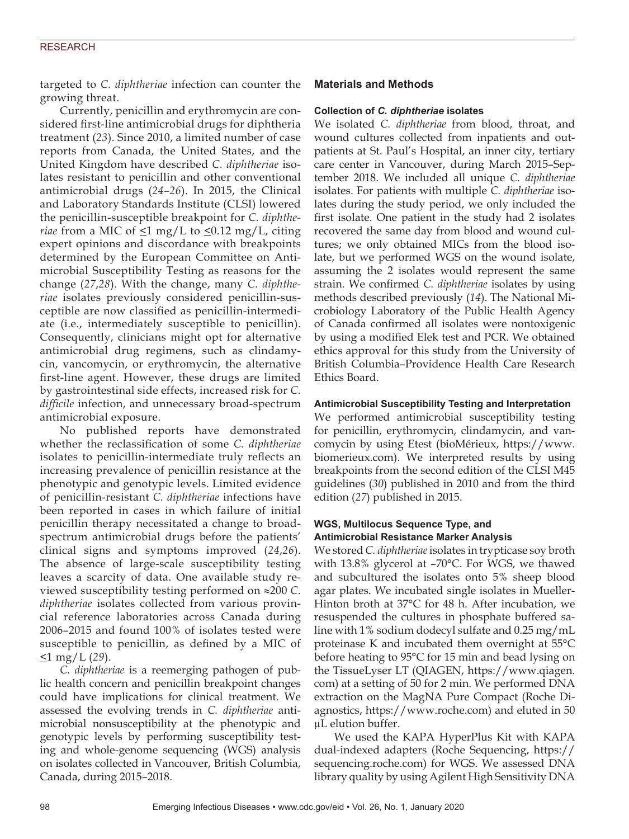targeted to *C. diphtheriae* infection can counter the growing threat.

Currently, penicillin and erythromycin are considered first-line antimicrobial drugs for diphtheria treatment (*23*). Since 2010, a limited number of case reports from Canada, the United States, and the United Kingdom have described *C. diphtheriae* isolates resistant to penicillin and other conventional antimicrobial drugs (*24–26*). In 2015, the Clinical and Laboratory Standards Institute (CLSI) lowered the penicillin-susceptible breakpoint for *C. diphtheriae* from a MIC of  $\leq$ 1 mg/L to  $\leq$ 0.12 mg/L, citing expert opinions and discordance with breakpoints determined by the European Committee on Antimicrobial Susceptibility Testing as reasons for the change (*27*,*28*). With the change, many *C. diphtheriae* isolates previously considered penicillin-susceptible are now classified as penicillin-intermediate (i.e., intermediately susceptible to penicillin). Consequently, clinicians might opt for alternative antimicrobial drug regimens, such as clindamycin, vancomycin, or erythromycin, the alternative first-line agent. However, these drugs are limited by gastrointestinal side effects, increased risk for *C. difficile* infection, and unnecessary broad-spectrum antimicrobial exposure.

No published reports have demonstrated whether the reclassification of some *C. diphtheriae* isolates to penicillin-intermediate truly reflects an increasing prevalence of penicillin resistance at the phenotypic and genotypic levels. Limited evidence of penicillin-resistant *C. diphtheriae* infections have been reported in cases in which failure of initial penicillin therapy necessitated a change to broadspectrum antimicrobial drugs before the patients' clinical signs and symptoms improved (*24*,*26*). The absence of large-scale susceptibility testing leaves a scarcity of data. One available study reviewed susceptibility testing performed on ≈200 *C. diphtheriae* isolates collected from various provincial reference laboratories across Canada during 2006–2015 and found 100% of isolates tested were susceptible to penicillin, as defined by a MIC of <1 mg/L (*29*).

*C. diphtheriae* is a reemerging pathogen of public health concern and penicillin breakpoint changes could have implications for clinical treatment. We assessed the evolving trends in *C. diphtheriae* antimicrobial nonsusceptibility at the phenotypic and genotypic levels by performing susceptibility testing and whole-genome sequencing (WGS) analysis on isolates collected in Vancouver, British Columbia, Canada, during 2015–2018.

# **Materials and Methods**

## **Collection of** *C. diphtheriae* **isolates**

We isolated *C. diphtheriae* from blood, throat, and wound cultures collected from inpatients and outpatients at St. Paul's Hospital, an inner city, tertiary care center in Vancouver, during March 2015–September 2018. We included all unique *C. diphtheriae* isolates. For patients with multiple *C. diphtheriae* isolates during the study period, we only included the first isolate. One patient in the study had 2 isolates recovered the same day from blood and wound cultures; we only obtained MICs from the blood isolate, but we performed WGS on the wound isolate, assuming the 2 isolates would represent the same strain. We confirmed *C. diphtheriae* isolates by using methods described previously (*14*). The National Microbiology Laboratory of the Public Health Agency of Canada confirmed all isolates were nontoxigenic by using a modified Elek test and PCR. We obtained ethics approval for this study from the University of British Columbia–Providence Health Care Research Ethics Board.

# **Antimicrobial Susceptibility Testing and Interpretation**

We performed antimicrobial susceptibility testing for penicillin, erythromycin, clindamycin, and vancomycin by using Etest (bioMérieux, https://www. biomerieux.com). We interpreted results by using breakpoints from the second edition of the CLSI M45 guidelines (*30*) published in 2010 and from the third edition (*27*) published in 2015.

## **WGS, Multilocus Sequence Type, and Antimicrobial Resistance Marker Analysis**

We stored *C. diphtheriae* isolates in trypticase soy broth with 13.8% glycerol at –70°C. For WGS, we thawed and subcultured the isolates onto 5% sheep blood agar plates. We incubated single isolates in Mueller-Hinton broth at 37°C for 48 h. After incubation, we resuspended the cultures in phosphate buffered saline with 1% sodium dodecyl sulfate and 0.25 mg/mL proteinase K and incubated them overnight at 55°C before heating to 95°C for 15 min and bead lysing on the TissueLyser LT (QIAGEN, https://www.qiagen. com) at a setting of 50 for 2 min. We performed DNA extraction on the MagNA Pure Compact (Roche Diagnostics, https://www.roche.com) and eluted in 50 µL elution buffer.

We used the KAPA HyperPlus Kit with KAPA dual-indexed adapters (Roche Sequencing, https:// sequencing.roche.com) for WGS. We assessed DNA library quality by using Agilent High Sensitivity DNA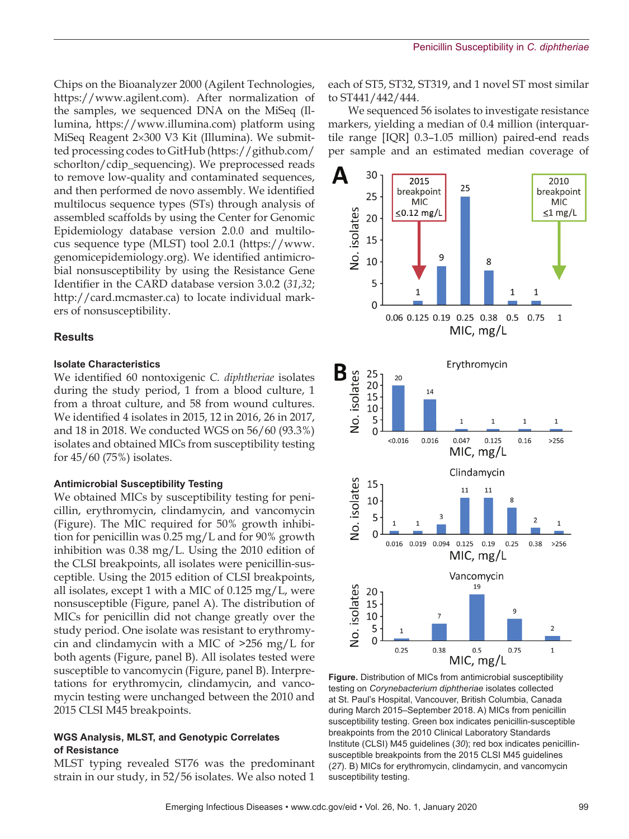Chips on the Bioanalyzer 2000 (Agilent Technologies, https://www.agilent.com). After normalization of the samples, we sequenced DNA on the MiSeq (Illumina, https://www.illumina.com) platform using MiSeq Reagent 2×300 V3 Kit (Illumina). We submitted processing codes to GitHub (https://github.com/ schorlton/cdip\_sequencing). We preprocessed reads to remove low-quality and contaminated sequences, and then performed de novo assembly. We identified multilocus sequence types (STs) through analysis of assembled scaffolds by using the Center for Genomic Epidemiology database version 2.0.0 and multilocus sequence type (MLST) tool 2.0.1 (https://www. genomicepidemiology.org). We identified antimicrobial nonsusceptibility by using the Resistance Gene Identifier in the CARD database version 3.0.2 (*31*,*32*; http://card.mcmaster.ca) to locate individual markers of nonsusceptibility.

## **Results**

#### **Isolate Characteristics**

We identified 60 nontoxigenic *C. diphtheriae* isolates during the study period, 1 from a blood culture, 1 from a throat culture, and 58 from wound cultures. We identified 4 isolates in 2015, 12 in 2016, 26 in 2017, and 18 in 2018. We conducted WGS on 56/60 (93.3%) isolates and obtained MICs from susceptibility testing for 45/60 (75%) isolates.

#### **Antimicrobial Susceptibility Testing**

We obtained MICs by susceptibility testing for penicillin, erythromycin, clindamycin, and vancomycin (Figure). The MIC required for 50% growth inhibition for penicillin was 0.25 mg/L and for 90% growth inhibition was 0.38 mg/L. Using the 2010 edition of the CLSI breakpoints, all isolates were penicillin-susceptible. Using the 2015 edition of CLSI breakpoints, all isolates, except 1 with a MIC of 0.125 mg/L, were nonsusceptible (Figure, panel A). The distribution of MICs for penicillin did not change greatly over the study period. One isolate was resistant to erythromycin and clindamycin with a MIC of >256 mg/L for both agents (Figure, panel B). All isolates tested were susceptible to vancomycin (Figure, panel B). Interpretations for erythromycin, clindamycin, and vancomycin testing were unchanged between the 2010 and 2015 CLSI M45 breakpoints.

### **WGS Analysis, MLST, and Genotypic Correlates of Resistance**

MLST typing revealed ST76 was the predominant strain in our study, in 52/56 isolates. We also noted 1

each of ST5, ST32, ST319, and 1 novel ST most similar to ST441/442/444.

We sequenced 56 isolates to investigate resistance markers, yielding a median of 0.4 million (interquartile range [IQR] 0.3–1.05 million) paired-end reads per sample and an estimated median coverage of



**Figure.** Distribution of MICs from antimicrobial susceptibility testing on *Corynebacterium diphtheriae* isolates collected at St. Paul's Hospital, Vancouver, British Columbia, Canada during March 2015–September 2018. A) MICs from penicillin susceptibility testing. Green box indicates penicillin-susceptible breakpoints from the 2010 Clinical Laboratory Standards Institute (CLSI) M45 guidelines (*30*); red box indicates penicillinsusceptible breakpoints from the 2015 CLSI M45 guidelines (*27*). B) MICs for erythromycin, clindamycin, and vancomycin susceptibility testing.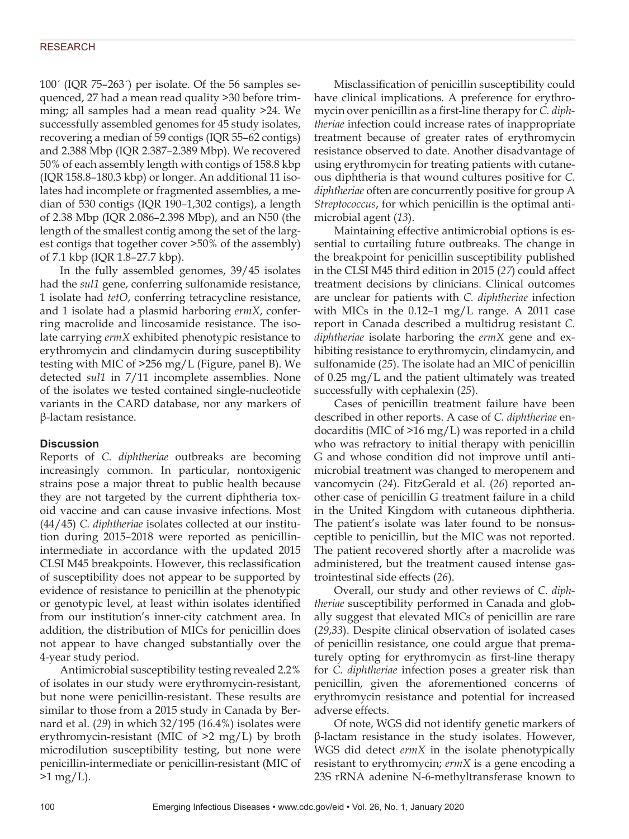100´ (IQR 75–263´) per isolate. Of the 56 samples sequenced, 27 had a mean read quality >30 before trimming; all samples had a mean read quality >24. We successfully assembled genomes for 45 study isolates, recovering a median of 59 contigs (IQR 55–62 contigs) and 2.388 Mbp (IQR 2.387–2.389 Mbp). We recovered 50% of each assembly length with contigs of 158.8 kbp (IQR 158.8–180.3 kbp) or longer. An additional 11 isolates had incomplete or fragmented assemblies, a median of 530 contigs (IQR 190–1,302 contigs), a length of 2.38 Mbp (IQR 2.086–2.398 Mbp), and an N50 (the length of the smallest contig among the set of the largest contigs that together cover >50% of the assembly) of 7.1 kbp (IQR 1.8–27.7 kbp).

In the fully assembled genomes, 39/45 isolates had the *sul1* gene, conferring sulfonamide resistance, 1 isolate had *tetO*, conferring tetracycline resistance, and 1 isolate had a plasmid harboring *ermX*, conferring macrolide and lincosamide resistance. The isolate carrying *ermX* exhibited phenotypic resistance to erythromycin and clindamycin during susceptibility testing with MIC of >256 mg/L (Figure, panel B). We detected *sul1* in 7/11 incomplete assemblies. None of the isolates we tested contained single-nucleotide variants in the CARD database, nor any markers of β-lactam resistance.

# **Discussion**

Reports of *C. diphtheriae* outbreaks are becoming increasingly common. In particular, nontoxigenic strains pose a major threat to public health because they are not targeted by the current diphtheria toxoid vaccine and can cause invasive infections. Most (44/45) *C. diphtheriae* isolates collected at our institution during 2015–2018 were reported as penicillinintermediate in accordance with the updated 2015 CLSI M45 breakpoints. However, this reclassification of susceptibility does not appear to be supported by evidence of resistance to penicillin at the phenotypic or genotypic level, at least within isolates identified from our institution's inner-city catchment area. In addition, the distribution of MICs for penicillin does not appear to have changed substantially over the 4-year study period.

Antimicrobial susceptibility testing revealed 2.2% of isolates in our study were erythromycin-resistant, but none were penicillin-resistant. These results are similar to those from a 2015 study in Canada by Bernard et al. (*29*) in which 32/195 (16.4%) isolates were erythromycin-resistant (MIC of >2 mg/L) by broth microdilution susceptibility testing, but none were penicillin-intermediate or penicillin-resistant (MIC of  $>1 \,\text{mg/L}$ ).

Misclassification of penicillin susceptibility could have clinical implications. A preference for erythromycin over penicillin as a first-line therapy for *C. diphtheriae* infection could increase rates of inappropriate treatment because of greater rates of erythromycin resistance observed to date. Another disadvantage of using erythromycin for treating patients with cutaneous diphtheria is that wound cultures positive for *C. diphtheriae* often are concurrently positive for group A *Streptococcus*, for which penicillin is the optimal antimicrobial agent (*13*).

Maintaining effective antimicrobial options is essential to curtailing future outbreaks. The change in the breakpoint for penicillin susceptibility published in the CLSI M45 third edition in 2015 (*27*) could affect treatment decisions by clinicians. Clinical outcomes are unclear for patients with *C. diphtheriae* infection with MICs in the 0.12–1 mg/L range. A 2011 case report in Canada described a multidrug resistant *C. diphtheriae* isolate harboring the *ermX* gene and exhibiting resistance to erythromycin, clindamycin, and sulfonamide (*25*). The isolate had an MIC of penicillin of 0.25 mg/L and the patient ultimately was treated successfully with cephalexin (*25*).

Cases of penicillin treatment failure have been described in other reports. A case of *C. diphtheriae* endocarditis (MIC of >16 mg/L) was reported in a child who was refractory to initial therapy with penicillin G and whose condition did not improve until antimicrobial treatment was changed to meropenem and vancomycin (*24*). FitzGerald et al. (*26*) reported another case of penicillin G treatment failure in a child in the United Kingdom with cutaneous diphtheria. The patient's isolate was later found to be nonsusceptible to penicillin, but the MIC was not reported. The patient recovered shortly after a macrolide was administered, but the treatment caused intense gastrointestinal side effects (*26*).

Overall, our study and other reviews of *C. diphtheriae* susceptibility performed in Canada and globally suggest that elevated MICs of penicillin are rare (*29*,*33*). Despite clinical observation of isolated cases of penicillin resistance, one could argue that prematurely opting for erythromycin as first-line therapy for *C. diphtheriae* infection poses a greater risk than penicillin, given the aforementioned concerns of erythromycin resistance and potential for increased adverse effects.

Of note, WGS did not identify genetic markers of β-lactam resistance in the study isolates. However, WGS did detect *ermX* in the isolate phenotypically resistant to erythromycin; *ermX* is a gene encoding a 23S rRNA adenine N-6-methyltransferase known to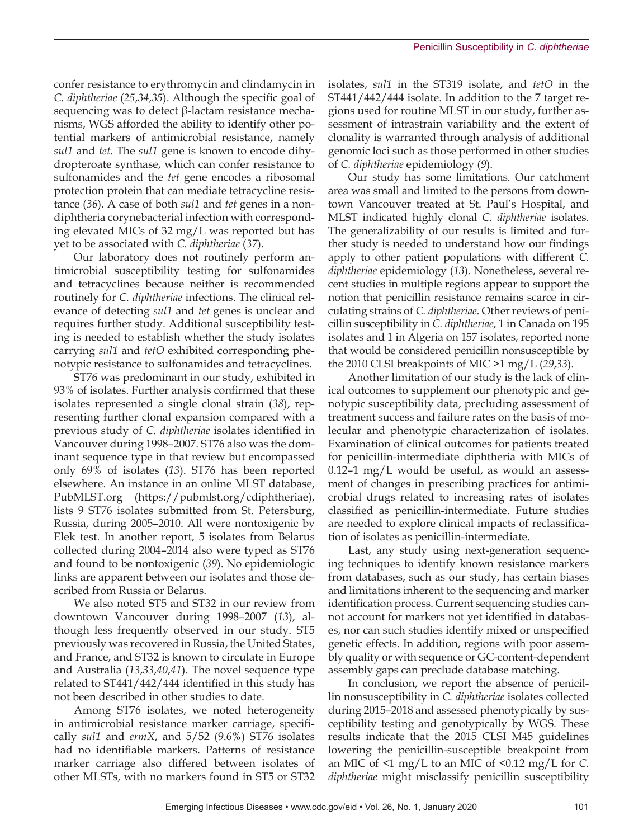confer resistance to erythromycin and clindamycin in *C. diphtheriae* (*25*,*34*,*35*). Although the specific goal of sequencing was to detect  $β$ -lactam resistance mechanisms, WGS afforded the ability to identify other potential markers of antimicrobial resistance, namely *sul1* and *tet*. The *sul1* gene is known to encode dihydropteroate synthase, which can confer resistance to sulfonamides and the *tet* gene encodes a ribosomal protection protein that can mediate tetracycline resistance (*36*). A case of both *sul1* and *tet* genes in a nondiphtheria corynebacterial infection with corresponding elevated MICs of 32 mg/L was reported but has yet to be associated with *C. diphtheriae* (*37*).

Our laboratory does not routinely perform antimicrobial susceptibility testing for sulfonamides and tetracyclines because neither is recommended routinely for *C. diphtheriae* infections. The clinical relevance of detecting *sul1* and *tet* genes is unclear and requires further study. Additional susceptibility testing is needed to establish whether the study isolates carrying *sul1* and *tetO* exhibited corresponding phenotypic resistance to sulfonamides and tetracyclines.

ST76 was predominant in our study, exhibited in 93% of isolates. Further analysis confirmed that these isolates represented a single clonal strain (*38*), representing further clonal expansion compared with a previous study of *C. diphtheriae* isolates identified in Vancouver during 1998–2007. ST76 also was the dominant sequence type in that review but encompassed only 69% of isolates (*13*). ST76 has been reported elsewhere. An instance in an online MLST database, PubMLST.org (https://pubmlst.org/cdiphtheriae), lists 9 ST76 isolates submitted from St. Petersburg, Russia, during 2005–2010. All were nontoxigenic by Elek test. In another report, 5 isolates from Belarus collected during 2004–2014 also were typed as ST76 and found to be nontoxigenic (*39*). No epidemiologic links are apparent between our isolates and those described from Russia or Belarus.

We also noted ST5 and ST32 in our review from downtown Vancouver during 1998–2007 (*13*), although less frequently observed in our study. ST5 previously was recovered in Russia, the United States, and France, and ST32 is known to circulate in Europe and Australia (*13*,*33*,*40*,*41*). The novel sequence type related to ST441/442/444 identified in this study has not been described in other studies to date.

Among ST76 isolates, we noted heterogeneity in antimicrobial resistance marker carriage, specifically *sul1* and *ermX*, and 5/52 (9.6%) ST76 isolates had no identifiable markers. Patterns of resistance marker carriage also differed between isolates of other MLSTs, with no markers found in ST5 or ST32

isolates, *sul1* in the ST319 isolate, and *tetO* in the ST441/442/444 isolate. In addition to the 7 target regions used for routine MLST in our study, further assessment of intrastrain variability and the extent of clonality is warranted through analysis of additional genomic loci such as those performed in other studies of *C. diphtheriae* epidemiology (*9*).

Our study has some limitations. Our catchment area was small and limited to the persons from downtown Vancouver treated at St. Paul's Hospital, and MLST indicated highly clonal *C. diphtheriae* isolates. The generalizability of our results is limited and further study is needed to understand how our findings apply to other patient populations with different *C. diphtheriae* epidemiology (*13*). Nonetheless, several recent studies in multiple regions appear to support the notion that penicillin resistance remains scarce in circulating strains of *C. diphtheriae*. Other reviews of penicillin susceptibility in *C. diphtheriae*, 1 in Canada on 195 isolates and 1 in Algeria on 157 isolates, reported none that would be considered penicillin nonsusceptible by the 2010 CLSI breakpoints of MIC >1 mg/L (*29*,*33*).

Another limitation of our study is the lack of clinical outcomes to supplement our phenotypic and genotypic susceptibility data, precluding assessment of treatment success and failure rates on the basis of molecular and phenotypic characterization of isolates. Examination of clinical outcomes for patients treated for penicillin-intermediate diphtheria with MICs of  $0.12-1$  mg/L would be useful, as would an assessment of changes in prescribing practices for antimicrobial drugs related to increasing rates of isolates classified as penicillin-intermediate. Future studies are needed to explore clinical impacts of reclassification of isolates as penicillin-intermediate.

Last, any study using next-generation sequencing techniques to identify known resistance markers from databases, such as our study, has certain biases and limitations inherent to the sequencing and marker identification process. Current sequencing studies cannot account for markers not yet identified in databases, nor can such studies identify mixed or unspecified genetic effects. In addition, regions with poor assembly quality or with sequence or GC-content-dependent assembly gaps can preclude database matching.

In conclusion, we report the absence of penicillin nonsusceptibility in *C. diphtheriae* isolates collected during 2015–2018 and assessed phenotypically by susceptibility testing and genotypically by WGS. These results indicate that the 2015 CLSI M45 guidelines lowering the penicillin-susceptible breakpoint from an MIC of  $\leq 1$  mg/L to an MIC of  $\leq 0.12$  mg/L for *C*. *diphtheriae* might misclassify penicillin susceptibility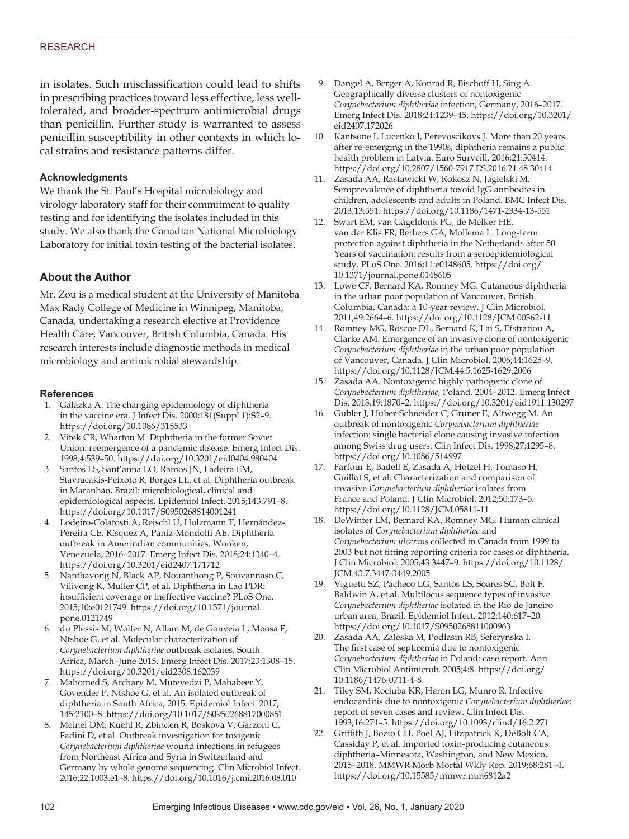#### **RESEARCH**

in isolates. Such misclassification could lead to shifts in prescribing practices toward less effective, less welltolerated, and broader-spectrum antimicrobial drugs than penicillin. Further study is warranted to assess penicillin susceptibility in other contexts in which local strains and resistance patterns differ.

#### **Acknowledgments**

We thank the St. Paul's Hospital microbiology and virology laboratory staff for their commitment to quality testing and for identifying the isolates included in this study. We also thank the Canadian National Microbiology Laboratory for initial toxin testing of the bacterial isolates.

# **About the Author**

Mr. Zou is a medical student at the University of Manitoba Max Rady College of Medicine in Winnipeg, Manitoba, Canada, undertaking a research elective at Providence Health Care, Vancouver, British Columbia, Canada. His research interests include diagnostic methods in medical microbiology and antimicrobial stewardship.

#### **References**

- 1. Galazka A. The changing epidemiology of diphtheria in the vaccine era. J Infect Dis. 2000;181(Suppl 1):S2–9. https://doi.org/10.1086/315533
- 2. Vitek CR, Wharton M. Diphtheria in the former Soviet Union: reemergence of a pandemic disease. Emerg Infect Dis. 1998;4:539–50. https://doi.org/10.3201/eid0404.980404
- Santos LS, Sant'anna LO, Ramos JN, Ladeira EM, Stavracakis-Peixoto R, Borges LL, et al. Diphtheria outbreak in Maranhão, Brazil: microbiological, clinical and epidemiological aspects. Epidemiol Infect. 2015;143:791–8. https://doi.org/10.1017/S0950268814001241
- 4. Lodeiro-Colatosti A, Reischl U, Holzmann T, Hernández-Pereira CE, Rísquez A, Paniz-Mondolfi AE. Diphtheria outbreak in Amerindian communities, Wonken, Venezuela, 2016–2017. Emerg Infect Dis. 2018;24:1340–4. https://doi.org/10.3201/eid2407.171712
- 5. Nanthavong N, Black AP, Nouanthong P, Souvannaso C, Vilivong K, Muller CP, et al. Diphtheria in Lao PDR: insufficient coverage or ineffective vaccine? PLoS One. 2015;10:e0121749. https://doi.org/10.1371/journal. pone.0121749
- 6. du Plessis M, Wolter N, Allam M, de Gouveia L, Moosa F, Ntshoe G, et al. Molecular characterization of *Corynebacterium diphtheriae* outbreak isolates, South Africa, March–June 2015. Emerg Infect Dis. 2017;23:1308–15. https://doi.org/10.3201/eid2308.162039
- 7. Mahomed S, Archary M, Mutevedzi P, Mahabeer Y, Govender P, Ntshoe G, et al. An isolated outbreak of diphtheria in South Africa, 2015. Epidemiol Infect. 2017; 145:2100–8. https://doi.org/10.1017/S0950268817000851
- 8. Meinel DM, Kuehl R, Zbinden R, Boskova V, Garzoni C, Fadini D, et al. Outbreak investigation for toxigenic *Corynebacterium diphtheriae* wound infections in refugees from Northeast Africa and Syria in Switzerland and Germany by whole genome sequencing. Clin Microbiol Infect. 2016;22:1003.e1–8. https://doi.org/10.1016/j.cmi.2016.08.010
- 9. Dangel A, Berger A, Konrad R, Bischoff H, Sing A. Geographically diverse clusters of nontoxigenic *Corynebacterium diphtheriae* infection, Germany, 2016–2017. Emerg Infect Dis. 2018;24:1239–45. https://doi.org/10.3201/ eid2407.172026
- 10. Kantsone I, Lucenko I, Perevoscikovs J. More than 20 years after re-emerging in the 1990s, diphtheria remains a public health problem in Latvia. Euro Surveill. 2016;21:30414. https://doi.org/10.2807/1560-7917.ES.2016.21.48.30414
- 11. Zasada AA, Rastawicki W, Rokosz N, Jagielski M. Seroprevalence of diphtheria toxoid IgG antibodies in children, adolescents and adults in Poland. BMC Infect Dis. 2013;13:551. https://doi.org/10.1186/1471-2334-13-551
- 12. Swart EM, van Gageldonk PG, de Melker HE, van der Klis FR, Berbers GA, Mollema L. Long-term protection against diphtheria in the Netherlands after 50 Years of vaccination: results from a seroepidemiological study. PLoS One. 2016;11:e0148605. https://doi.org/ 10.1371/journal.pone.0148605
- 13. Lowe CF, Bernard KA, Romney MG. Cutaneous diphtheria in the urban poor population of Vancouver, British Columbia, Canada: a 10-year review. J Clin Microbiol. 2011;49:2664–6. https://doi.org/10.1128/JCM.00362-11
- 14. Romney MG, Roscoe DL, Bernard K, Lai S, Efstratiou A, Clarke AM. Emergence of an invasive clone of nontoxigenic *Corynebacterium diphtheriae* in the urban poor population of Vancouver, Canada. J Clin Microbiol. 2006;44:1625–9. https://doi.org/10.1128/JCM.44.5.1625-1629.2006
- 15. Zasada AA. Nontoxigenic highly pathogenic clone of *Corynebacterium diphtheriae*, Poland, 2004–2012. Emerg Infect Dis. 2013;19:1870–2. https://doi.org/10.3201/eid1911.130297
- 16. Gubler J, Huber-Schneider C, Gruner E, Altwegg M. An outbreak of nontoxigenic *Corynebacterium diphtheriae* infection: single bacterial clone causing invasive infection among Swiss drug users. Clin Infect Dis. 1998;27:1295–8. https://doi.org/10.1086/514997
- 17. Farfour E, Badell E, Zasada A, Hotzel H, Tomaso H, Guillot S, et al. Characterization and comparison of invasive *Corynebacterium diphtheriae* isolates from France and Poland. J Clin Microbiol. 2012;50:173–5. https://doi.org/10.1128/JCM.05811-11
- 18. DeWinter LM, Bernard KA, Romney MG. Human clinical isolates of *Corynebacterium diphtheriae* and *Corynebacterium ulcerans* collected in Canada from 1999 to 2003 but not fitting reporting criteria for cases of diphtheria. J Clin Microbiol. 2005;43:3447–9. https://doi.org/10.1128/ JCM.43.7.3447-3449.2005
- 19. Viguetti SZ, Pacheco LG, Santos LS, Soares SC, Bolt F, Baldwin A, et al. Multilocus sequence types of invasive *Corynebacterium diphtheriae* isolated in the Rio de Janeiro urban area, Brazil. Epidemiol Infect. 2012;140:617–20. https://doi.org/10.1017/S0950268811000963
- 20. Zasada AA, Zaleska M, Podlasin RB, Seferynska I. The first case of septicemia due to nontoxigenic *Corynebacterium diphtheriae* in Poland: case report. Ann Clin Microbiol Antimicrob. 2005;4:8. https://doi.org/ 10.1186/1476-0711-4-8
- 21. Tiley SM, Kociuba KR, Heron LG, Munro R. Infective endocarditis due to nontoxigenic *Corynebacterium diphtheriae*: report of seven cases and review. Clin Infect Dis. 1993;16:271–5. https://doi.org/10.1093/clind/16.2.271
- 22. Griffith J, Bozio CH, Poel AJ, Fitzpatrick K, DeBolt CA, Cassiday P, et al. Imported toxin-producing cutaneous diphtheria–Minnesota, Washington, and New Mexico, 2015–2018. MMWR Morb Mortal Wkly Rep. 2019;68:281–4. https://doi.org/10.15585/mmwr.mm6812a2